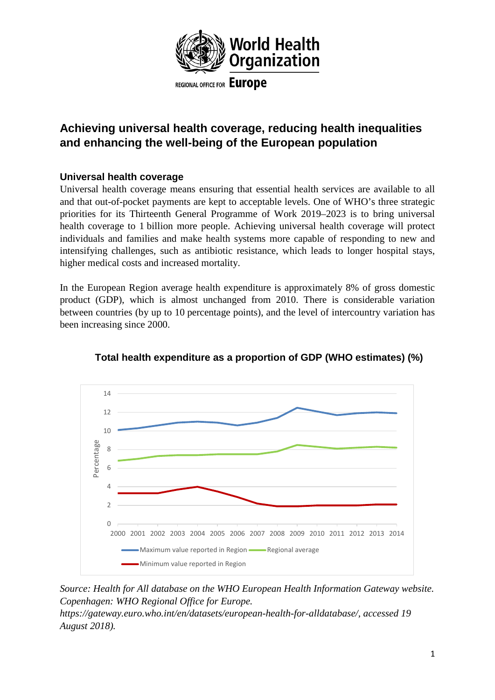

# **Achieving universal health coverage, reducing health inequalities and enhancing the well-being of the European population**

# **Universal health coverage**

Universal health coverage means ensuring that essential health services are available to all and that out-of-pocket payments are kept to acceptable levels. One of WHO's three strategic priorities for its Thirteenth General Programme of Work 2019–2023 is to bring universal health coverage to 1 billion more people. Achieving universal health coverage will protect individuals and families and make health systems more capable of responding to new and intensifying challenges, such as antibiotic resistance, which leads to longer hospital stays, higher medical costs and increased mortality.

In the European Region average health expenditure is approximately 8% of gross domestic product (GDP), which is almost unchanged from 2010. There is considerable variation between countries (by up to 10 percentage points), and the level of intercountry variation has been increasing since 2000.



# **Total health expenditure as a proportion of GDP (WHO estimates) (%)**

*Source: Health for All database on the WHO European Health Information Gateway website. Copenhagen: WHO Regional Office for Europe.* 

*https://gateway.euro.who.int/en/datasets/european-health-for-alldatabase/, accessed 19 August 2018).*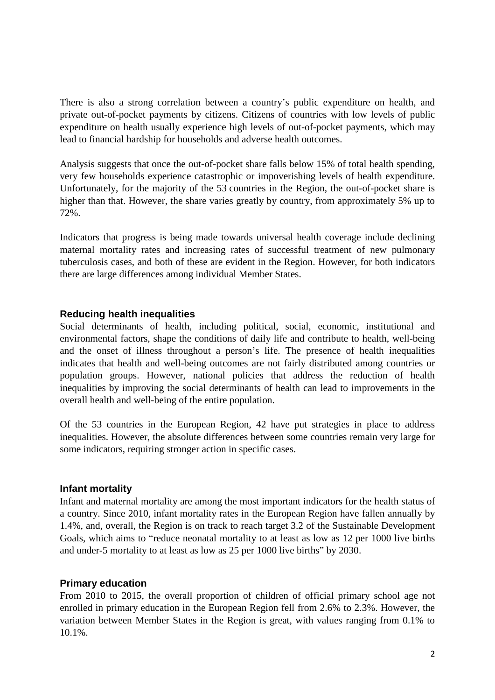There is also a strong correlation between a country's public expenditure on health, and private out-of-pocket payments by citizens. Citizens of countries with low levels of public expenditure on health usually experience high levels of out-of-pocket payments, which may lead to financial hardship for households and adverse health outcomes.

Analysis suggests that once the out-of-pocket share falls below 15% of total health spending, very few households experience catastrophic or impoverishing levels of health expenditure. Unfortunately, for the majority of the 53 countries in the Region, the out-of-pocket share is higher than that. However, the share varies greatly by country, from approximately 5% up to 72%.

Indicators that progress is being made towards universal health coverage include declining maternal mortality rates and increasing rates of successful treatment of new pulmonary tuberculosis cases, and both of these are evident in the Region. However, for both indicators there are large differences among individual Member States.

#### **Reducing health inequalities**

Social determinants of health, including political, social, economic, institutional and environmental factors, shape the conditions of daily life and contribute to health, well-being and the onset of illness throughout a person's life. The presence of health inequalities indicates that health and well-being outcomes are not fairly distributed among countries or population groups. However, national policies that address the reduction of health inequalities by improving the social determinants of health can lead to improvements in the overall health and well-being of the entire population.

Of the 53 countries in the European Region, 42 have put strategies in place to address inequalities. However, the absolute differences between some countries remain very large for some indicators, requiring stronger action in specific cases.

#### **Infant mortality**

Infant and maternal mortality are among the most important indicators for the health status of a country. Since 2010, infant mortality rates in the European Region have fallen annually by 1.4%, and, overall, the Region is on track to reach target 3.2 of the Sustainable Development Goals, which aims to "reduce neonatal mortality to at least as low as 12 per 1000 live births and under-5 mortality to at least as low as 25 per 1000 live births" by 2030.

#### **Primary education**

From 2010 to 2015, the overall proportion of children of official primary school age not enrolled in primary education in the European Region fell from 2.6% to 2.3%. However, the variation between Member States in the Region is great, with values ranging from 0.1% to 10.1%.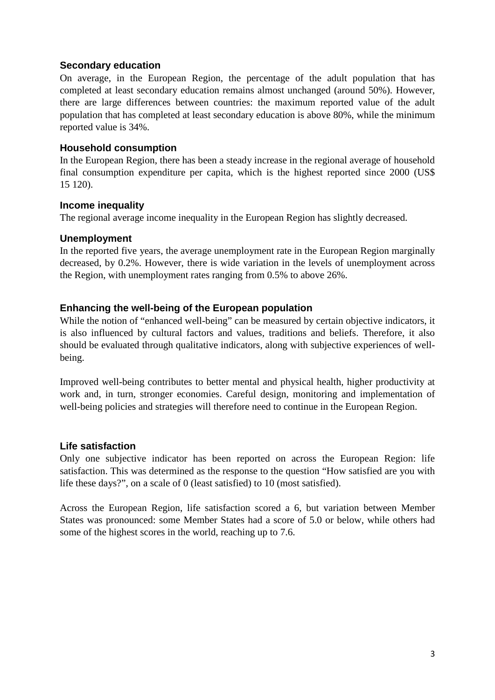# **Secondary education**

On average, in the European Region, the percentage of the adult population that has completed at least secondary education remains almost unchanged (around 50%). However, there are large differences between countries: the maximum reported value of the adult population that has completed at least secondary education is above 80%, while the minimum reported value is 34%.

#### **Household consumption**

In the European Region, there has been a steady increase in the regional average of household final consumption expenditure per capita, which is the highest reported since 2000 (US\$ 15 120).

#### **Income inequality**

The regional average income inequality in the European Region has slightly decreased.

#### **Unemployment**

In the reported five years, the average unemployment rate in the European Region marginally decreased, by 0.2%. However, there is wide variation in the levels of unemployment across the Region, with unemployment rates ranging from 0.5% to above 26%.

# **Enhancing the well-being of the European population**

While the notion of "enhanced well-being" can be measured by certain objective indicators, it is also influenced by cultural factors and values, traditions and beliefs. Therefore, it also should be evaluated through qualitative indicators, along with subjective experiences of wellbeing.

Improved well-being contributes to better mental and physical health, higher productivity at work and, in turn, stronger economies. Careful design, monitoring and implementation of well-being policies and strategies will therefore need to continue in the European Region.

# **Life satisfaction**

Only one subjective indicator has been reported on across the European Region: life satisfaction. This was determined as the response to the question "How satisfied are you with life these days?", on a scale of 0 (least satisfied) to 10 (most satisfied).

Across the European Region, life satisfaction scored a 6, but variation between Member States was pronounced: some Member States had a score of 5.0 or below, while others had some of the highest scores in the world, reaching up to 7.6.